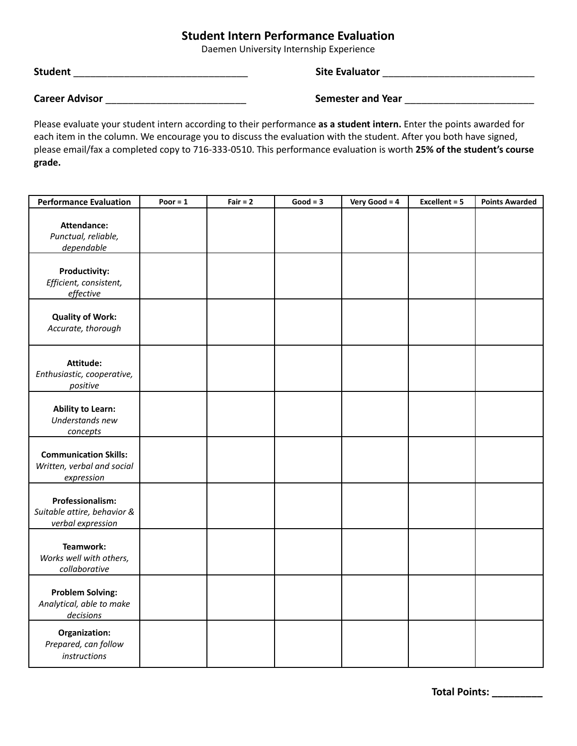## **Student Intern Performance Evaluation**

Daemen University Internship Experience

**Student** \_\_\_\_\_\_\_\_\_\_\_\_\_\_\_\_\_\_\_\_\_\_\_\_\_\_\_\_\_\_\_ **Site Evaluator** \_\_\_\_\_\_\_\_\_\_\_\_\_\_\_\_\_\_\_\_\_\_\_\_\_\_\_

**Career Advisor** \_\_\_\_\_\_\_\_\_\_\_\_\_\_\_\_\_\_\_\_\_\_\_\_\_ **Semester and Year** \_\_\_\_\_\_\_\_\_\_\_\_\_\_\_\_\_\_\_\_\_\_\_

Please evaluate your student intern according to their performance **as a student intern.** Enter the points awarded for each item in the column. We encourage you to discuss the evaluation with the student. After you both have signed, please email/fax a completed copy to 716-333-0510. This performance evaluation is worth **25% of the student's course grade.**

| <b>Performance Evaluation</b>                                            | Poor $= 1$ | Fair $= 2$ | $Good = 3$ | Very Good = $4$ | Excellent = 5 | <b>Points Awarded</b> |
|--------------------------------------------------------------------------|------------|------------|------------|-----------------|---------------|-----------------------|
| Attendance:<br>Punctual, reliable,<br>dependable                         |            |            |            |                 |               |                       |
| <b>Productivity:</b><br>Efficient, consistent,<br>effective              |            |            |            |                 |               |                       |
| <b>Quality of Work:</b><br>Accurate, thorough                            |            |            |            |                 |               |                       |
| Attitude:<br>Enthusiastic, cooperative,<br>positive                      |            |            |            |                 |               |                       |
| <b>Ability to Learn:</b><br>Understands new<br>concepts                  |            |            |            |                 |               |                       |
| <b>Communication Skills:</b><br>Written, verbal and social<br>expression |            |            |            |                 |               |                       |
| Professionalism:<br>Suitable attire, behavior &<br>verbal expression     |            |            |            |                 |               |                       |
| Teamwork:<br>Works well with others,<br>collaborative                    |            |            |            |                 |               |                       |
| <b>Problem Solving:</b><br>Analytical, able to make<br>decisions         |            |            |            |                 |               |                       |
| Organization:<br>Prepared, can follow<br>instructions                    |            |            |            |                 |               |                       |

**Total Points: \_\_\_\_\_\_\_\_\_**